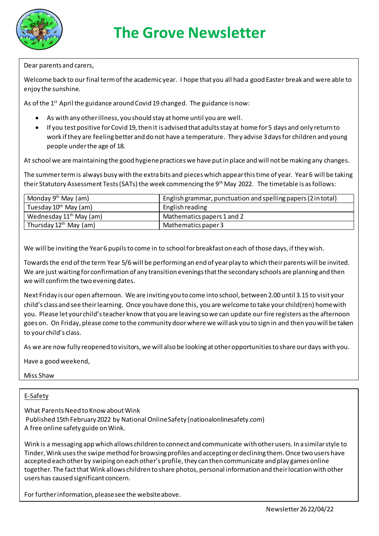

### Dear parents and carers,

Welcome back to our final term of the academic year. I hope that you all had a good Easter break and were able to enjoy the sunshine.

As of the  $1<sup>st</sup>$  April the guidance around Covid 19 changed. The guidance is now:

- As with any other illness, you should stay at home until you are well.
- If you test positive for Covid 19, then it is advised that adults stay at home for 5 days and only return to work if they are feeling better and do not have a temperature. They advise 3 days for children and young people under the age of 18.

At school we are maintaining the good hygiene practices we have put in place and will not be making any changes.

The summer term is always busy with the extra bits and pieces which appear this time of year. Year 6 will be taking their Statutory Assessment Tests (SATs) the week commencing the 9th May 2022. The timetable is as follows:

| Monday $9th$ May (am)               | English grammar, punctuation and spelling papers (2 in total) |
|-------------------------------------|---------------------------------------------------------------|
| Tuesday 10 <sup>th</sup> May (am)   | English reading                                               |
| Wednesday 11 <sup>th</sup> May (am) | Mathematics papers 1 and 2                                    |
| Thursday 12 <sup>th</sup> May (am)  | Mathematics paper 3                                           |

We will be inviting the Year 6 pupils to come in to school for breakfast on each of those days, if they wish.

Towards the end of the term Year 5/6 will be performing an end of year play to which their parents will be invited. We are just waiting for confirmation of any transition evenings that the secondary schools are planning and then we will confirm the two evening dates.

Next Friday is our open afternoon. We are inviting you to come into school, between 2.00 until 3.15 to visit your child's class and see their learning. Once you have done this, you are welcome to take your child(ren) home with you. Please let your child's teacher know that you are leaving so we can update our fire registers as the afternoon goes on. On Friday, please come to the community door where we will ask you to sign in and then you will be taken to your child's class.

As we are now fully reopened to visitors, we will also be looking at other opportunities to share our days with you.

Have a good weekend,

Miss Shaw

#### E-Safety

What Parents Need to Know about Wink Published 15th February 2022 by National Online Safety (nationalonlinesafety.com) A free online safety guide on Wink.

Wink is a messaging app which allows children to connect and communicate with other users. In a similar style to Tinder, Wink uses the swipe method for browsing profiles and accepting or declining them. Once two users have accepted each other by swiping on each other's profile, they can then communicate and play games online together. The fact that Wink allows children to share photos, personal information and their location with other users has caused significant concern.

For further information, please see the website above.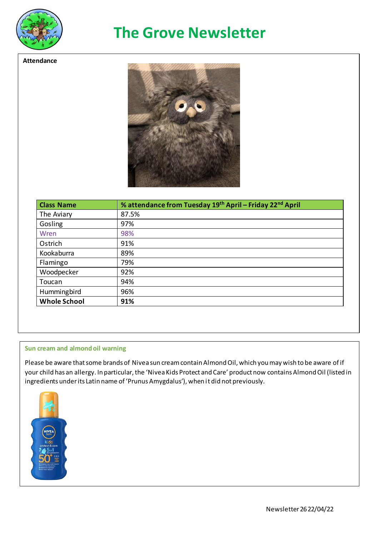

**Attendance**

# **The Grove Newsletter**

| <b>Class Name</b>   | % attendance from Tuesday 19th April - Friday 22nd April |
|---------------------|----------------------------------------------------------|
| The Aviary          | 87.5%                                                    |
| Gosling             | 97%                                                      |
| Wren                | 98%                                                      |
| Ostrich             | 91%                                                      |
| Kookaburra          | 89%                                                      |
| Flamingo            | 79%                                                      |
| Woodpecker          | 92%                                                      |
| Toucan              | 94%                                                      |
| Hummingbird         | 96%                                                      |
| <b>Whole School</b> | 91%                                                      |

#### **Sun cream and almond oil warning**

Please be aware that some brands of Nivea sun cream contain Almond Oil, which you may wish to be aware of if your child has an allergy. In particular, the 'Nivea Kids Protect and Care' product now contains Almond Oil (listed in ingredients under its Latin name of 'Prunus Amygdalus'), when it did not previously.